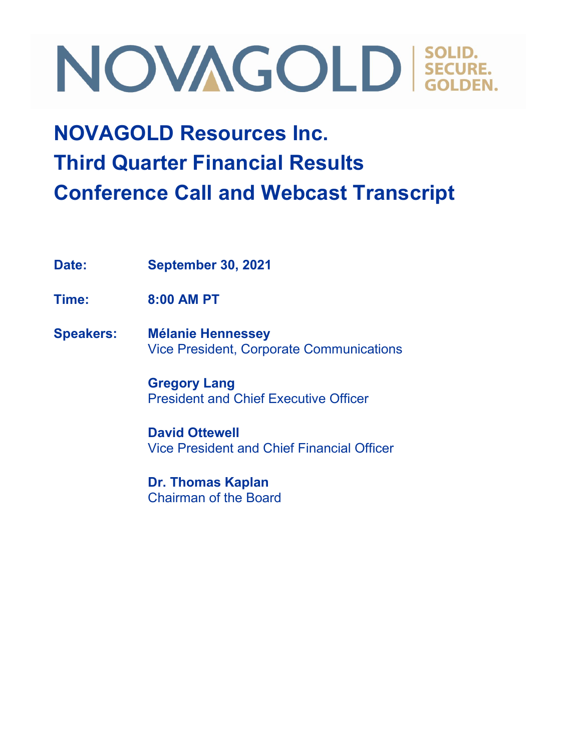### **NOVAGOLD Resources Inc. Third Quarter Financial Results Conference Call and Webcast Transcript**

**Date: September 30, 2021**

**Time: 8:00 AM PT**

**Speakers: Mélanie Hennessey** Vice President, Corporate Communications

> **Gregory Lang** President and Chief Executive Officer

**David Ottewell** Vice President and Chief Financial Officer

**Dr. Thomas Kaplan** Chairman of the Board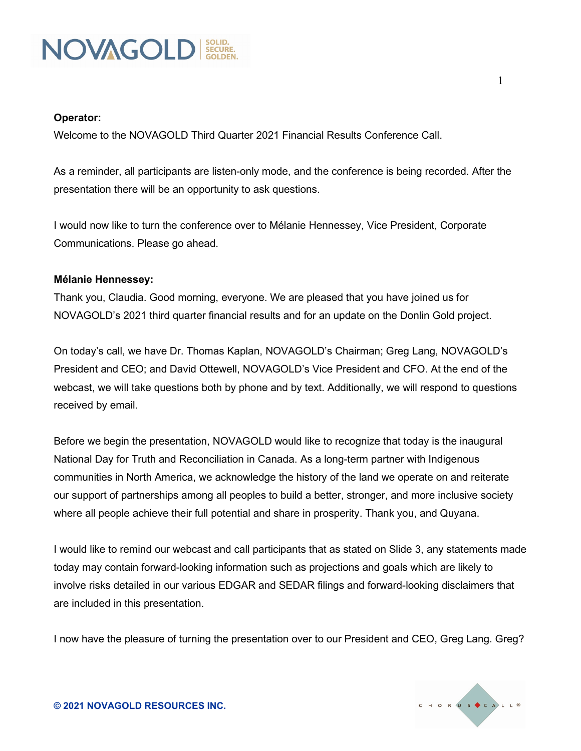

#### **Operator:**

Welcome to the NOVAGOLD Third Quarter 2021 Financial Results Conference Call.

As a reminder, all participants are listen-only mode, and the conference is being recorded. After the presentation there will be an opportunity to ask questions.

I would now like to turn the conference over to Mélanie Hennessey, Vice President, Corporate Communications. Please go ahead.

#### **Mélanie Hennessey:**

Thank you, Claudia. Good morning, everyone. We are pleased that you have joined us for NOVAGOLD's 2021 third quarter financial results and for an update on the Donlin Gold project.

On today's call, we have Dr. Thomas Kaplan, NOVAGOLD's Chairman; Greg Lang, NOVAGOLD's President and CEO; and David Ottewell, NOVAGOLD's Vice President and CFO. At the end of the webcast, we will take questions both by phone and by text. Additionally, we will respond to questions received by email.

Before we begin the presentation, NOVAGOLD would like to recognize that today is the inaugural National Day for Truth and Reconciliation in Canada. As a long-term partner with Indigenous communities in North America, we acknowledge the history of the land we operate on and reiterate our support of partnerships among all peoples to build a better, stronger, and more inclusive society where all people achieve their full potential and share in prosperity. Thank you, and Quyana.

I would like to remind our webcast and call participants that as stated on Slide 3, any statements made today may contain forward-looking information such as projections and goals which are likely to involve risks detailed in our various EDGAR and SEDAR filings and forward-looking disclaimers that are included in this presentation.

I now have the pleasure of turning the presentation over to our President and CEO, Greg Lang. Greg?

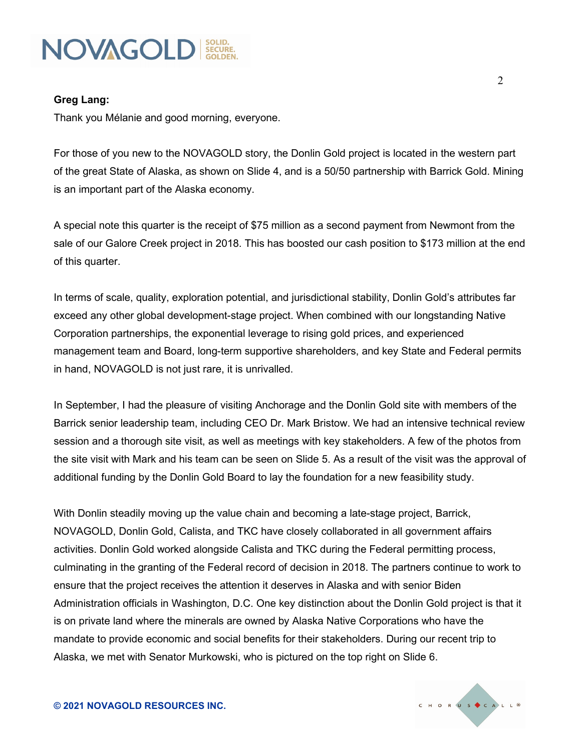

#### **Greg Lang:**

Thank you Mélanie and good morning, everyone.

For those of you new to the NOVAGOLD story, the Donlin Gold project is located in the western part of the great State of Alaska, as shown on Slide 4, and is a 50/50 partnership with Barrick Gold. Mining is an important part of the Alaska economy.

A special note this quarter is the receipt of \$75 million as a second payment from Newmont from the sale of our Galore Creek project in 2018. This has boosted our cash position to \$173 million at the end of this quarter.

In terms of scale, quality, exploration potential, and jurisdictional stability, Donlin Gold's attributes far exceed any other global development-stage project. When combined with our longstanding Native Corporation partnerships, the exponential leverage to rising gold prices, and experienced management team and Board, long-term supportive shareholders, and key State and Federal permits in hand, NOVAGOLD is not just rare, it is unrivalled.

In September, I had the pleasure of visiting Anchorage and the Donlin Gold site with members of the Barrick senior leadership team, including CEO Dr. Mark Bristow. We had an intensive technical review session and a thorough site visit, as well as meetings with key stakeholders. A few of the photos from the site visit with Mark and his team can be seen on Slide 5. As a result of the visit was the approval of additional funding by the Donlin Gold Board to lay the foundation for a new feasibility study.

With Donlin steadily moving up the value chain and becoming a late-stage project, Barrick, NOVAGOLD, Donlin Gold, Calista, and TKC have closely collaborated in all government affairs activities. Donlin Gold worked alongside Calista and TKC during the Federal permitting process, culminating in the granting of the Federal record of decision in 2018. The partners continue to work to ensure that the project receives the attention it deserves in Alaska and with senior Biden Administration officials in Washington, D.C. One key distinction about the Donlin Gold project is that it is on private land where the minerals are owned by Alaska Native Corporations who have the mandate to provide economic and social benefits for their stakeholders. During our recent trip to Alaska, we met with Senator Murkowski, who is pictured on the top right on Slide 6.

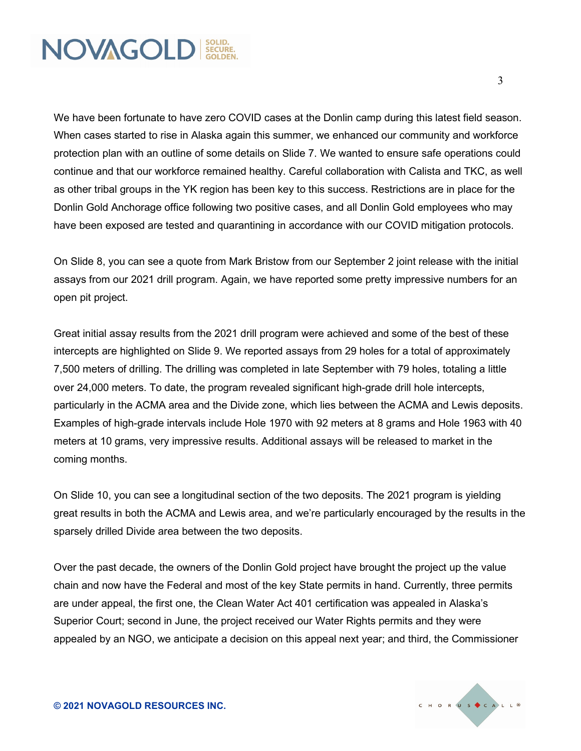

We have been fortunate to have zero COVID cases at the Donlin camp during this latest field season. When cases started to rise in Alaska again this summer, we enhanced our community and workforce protection plan with an outline of some details on Slide 7. We wanted to ensure safe operations could continue and that our workforce remained healthy. Careful collaboration with Calista and TKC, as well as other tribal groups in the YK region has been key to this success. Restrictions are in place for the Donlin Gold Anchorage office following two positive cases, and all Donlin Gold employees who may have been exposed are tested and quarantining in accordance with our COVID mitigation protocols.

On Slide 8, you can see a quote from Mark Bristow from our September 2 joint release with the initial assays from our 2021 drill program. Again, we have reported some pretty impressive numbers for an open pit project.

Great initial assay results from the 2021 drill program were achieved and some of the best of these intercepts are highlighted on Slide 9. We reported assays from 29 holes for a total of approximately 7,500 meters of drilling. The drilling was completed in late September with 79 holes, totaling a little over 24,000 meters. To date, the program revealed significant high-grade drill hole intercepts, particularly in the ACMA area and the Divide zone, which lies between the ACMA and Lewis deposits. Examples of high-grade intervals include Hole 1970 with 92 meters at 8 grams and Hole 1963 with 40 meters at 10 grams, very impressive results. Additional assays will be released to market in the coming months.

On Slide 10, you can see a longitudinal section of the two deposits. The 2021 program is yielding great results in both the ACMA and Lewis area, and we're particularly encouraged by the results in the sparsely drilled Divide area between the two deposits.

Over the past decade, the owners of the Donlin Gold project have brought the project up the value chain and now have the Federal and most of the key State permits in hand. Currently, three permits are under appeal, the first one, the Clean Water Act 401 certification was appealed in Alaska's Superior Court; second in June, the project received our Water Rights permits and they were appealed by an NGO, we anticipate a decision on this appeal next year; and third, the Commissioner

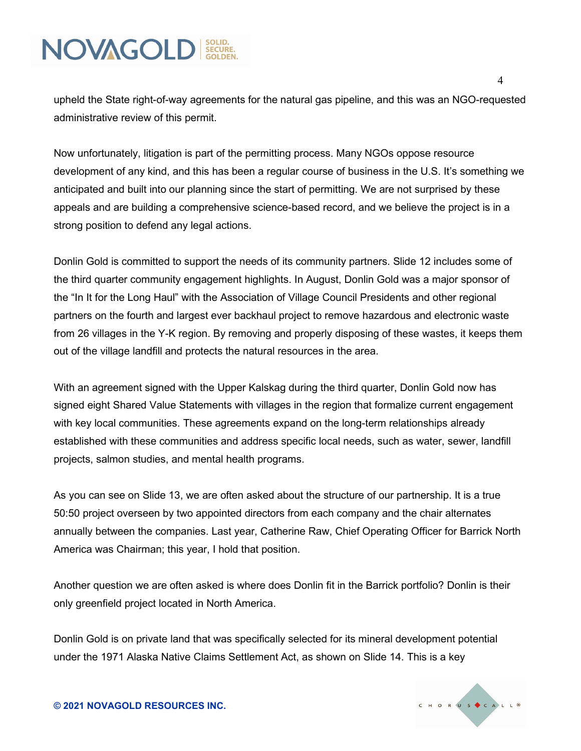upheld the State right-of-way agreements for the natural gas pipeline, and this was an NGO-requested administrative review of this permit.

Now unfortunately, litigation is part of the permitting process. Many NGOs oppose resource development of any kind, and this has been a regular course of business in the U.S. It's something we anticipated and built into our planning since the start of permitting. We are not surprised by these appeals and are building a comprehensive science-based record, and we believe the project is in a strong position to defend any legal actions.

Donlin Gold is committed to support the needs of its community partners. Slide 12 includes some of the third quarter community engagement highlights. In August, Donlin Gold was a major sponsor of the "In It for the Long Haul" with the Association of Village Council Presidents and other regional partners on the fourth and largest ever backhaul project to remove hazardous and electronic waste from 26 villages in the Y-K region. By removing and properly disposing of these wastes, it keeps them out of the village landfill and protects the natural resources in the area.

With an agreement signed with the Upper Kalskag during the third quarter, Donlin Gold now has signed eight Shared Value Statements with villages in the region that formalize current engagement with key local communities. These agreements expand on the long-term relationships already established with these communities and address specific local needs, such as water, sewer, landfill projects, salmon studies, and mental health programs.

As you can see on Slide 13, we are often asked about the structure of our partnership. It is a true 50:50 project overseen by two appointed directors from each company and the chair alternates annually between the companies. Last year, Catherine Raw, Chief Operating Officer for Barrick North America was Chairman; this year, I hold that position.

Another question we are often asked is where does Donlin fit in the Barrick portfolio? Donlin is their only greenfield project located in North America.

Donlin Gold is on private land that was specifically selected for its mineral development potential under the 1971 Alaska Native Claims Settlement Act, as shown on Slide 14. This is a key

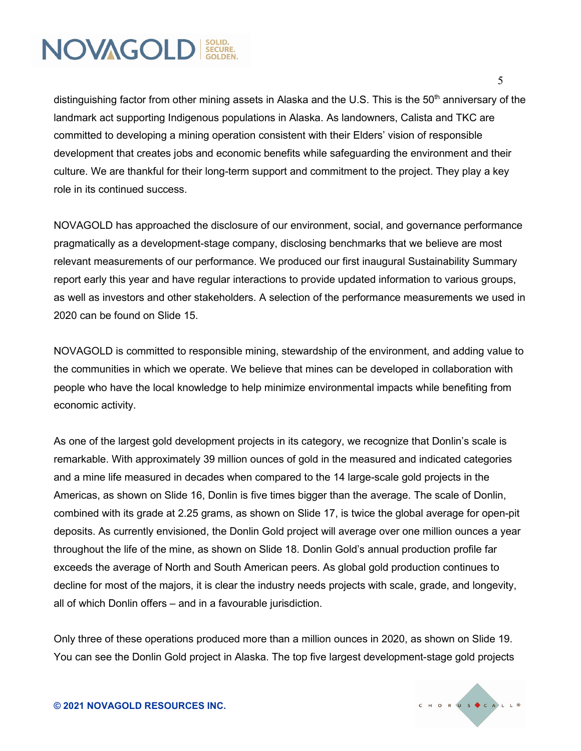distinguishing factor from other mining assets in Alaska and the U.S. This is the 50<sup>th</sup> anniversary of the landmark act supporting Indigenous populations in Alaska. As landowners, Calista and TKC are committed to developing a mining operation consistent with their Elders' vision of responsible development that creates jobs and economic benefits while safeguarding the environment and their culture. We are thankful for their long-term support and commitment to the project. They play a key role in its continued success.

NOVAGOLD has approached the disclosure of our environment, social, and governance performance pragmatically as a development-stage company, disclosing benchmarks that we believe are most relevant measurements of our performance. We produced our first inaugural Sustainability Summary report early this year and have regular interactions to provide updated information to various groups, as well as investors and other stakeholders. A selection of the performance measurements we used in 2020 can be found on Slide 15.

NOVAGOLD is committed to responsible mining, stewardship of the environment, and adding value to the communities in which we operate. We believe that mines can be developed in collaboration with people who have the local knowledge to help minimize environmental impacts while benefiting from economic activity.

As one of the largest gold development projects in its category, we recognize that Donlin's scale is remarkable. With approximately 39 million ounces of gold in the measured and indicated categories and a mine life measured in decades when compared to the 14 large-scale gold projects in the Americas, as shown on Slide 16, Donlin is five times bigger than the average. The scale of Donlin, combined with its grade at 2.25 grams, as shown on Slide 17, is twice the global average for open-pit deposits. As currently envisioned, the Donlin Gold project will average over one million ounces a year throughout the life of the mine, as shown on Slide 18. Donlin Gold's annual production profile far exceeds the average of North and South American peers. As global gold production continues to decline for most of the majors, it is clear the industry needs projects with scale, grade, and longevity, all of which Donlin offers – and in a favourable jurisdiction.

Only three of these operations produced more than a million ounces in 2020, as shown on Slide 19. You can see the Donlin Gold project in Alaska. The top five largest development-stage gold projects

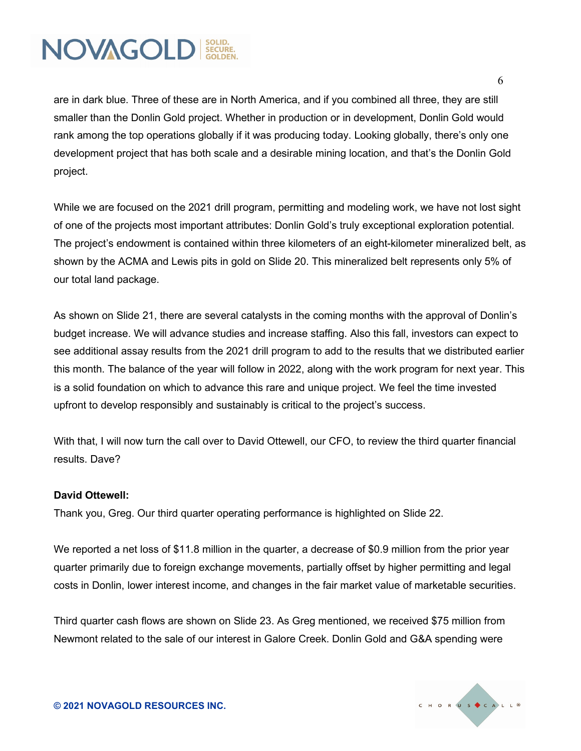6

are in dark blue. Three of these are in North America, and if you combined all three, they are still smaller than the Donlin Gold project. Whether in production or in development, Donlin Gold would rank among the top operations globally if it was producing today. Looking globally, there's only one development project that has both scale and a desirable mining location, and that's the Donlin Gold project.

While we are focused on the 2021 drill program, permitting and modeling work, we have not lost sight of one of the projects most important attributes: Donlin Gold's truly exceptional exploration potential. The project's endowment is contained within three kilometers of an eight-kilometer mineralized belt, as shown by the ACMA and Lewis pits in gold on Slide 20. This mineralized belt represents only 5% of our total land package.

As shown on Slide 21, there are several catalysts in the coming months with the approval of Donlin's budget increase. We will advance studies and increase staffing. Also this fall, investors can expect to see additional assay results from the 2021 drill program to add to the results that we distributed earlier this month. The balance of the year will follow in 2022, along with the work program for next year. This is a solid foundation on which to advance this rare and unique project. We feel the time invested upfront to develop responsibly and sustainably is critical to the project's success.

With that, I will now turn the call over to David Ottewell, our CFO, to review the third quarter financial results. Dave?

#### **David Ottewell:**

Thank you, Greg. Our third quarter operating performance is highlighted on Slide 22.

We reported a net loss of \$11.8 million in the quarter, a decrease of \$0.9 million from the prior year quarter primarily due to foreign exchange movements, partially offset by higher permitting and legal costs in Donlin, lower interest income, and changes in the fair market value of marketable securities.

Third quarter cash flows are shown on Slide 23. As Greg mentioned, we received \$75 million from Newmont related to the sale of our interest in Galore Creek. Donlin Gold and G&A spending were

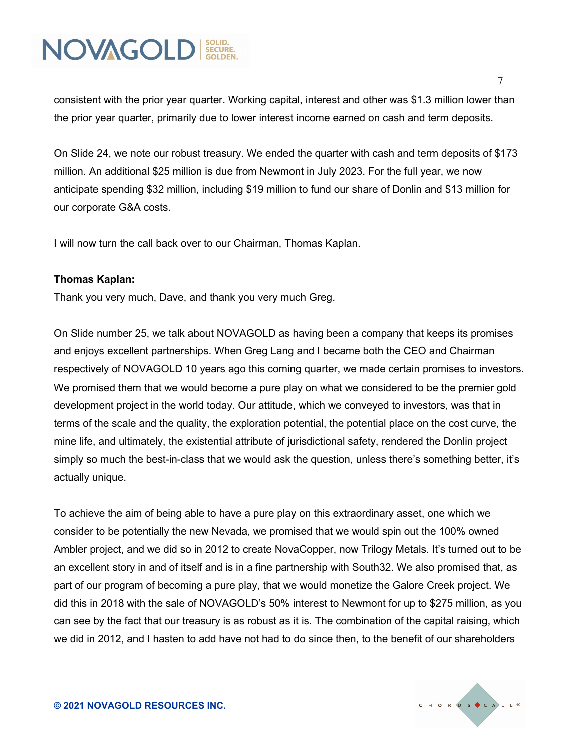consistent with the prior year quarter. Working capital, interest and other was \$1.3 million lower than the prior year quarter, primarily due to lower interest income earned on cash and term deposits.

On Slide 24, we note our robust treasury. We ended the quarter with cash and term deposits of \$173 million. An additional \$25 million is due from Newmont in July 2023. For the full year, we now anticipate spending \$32 million, including \$19 million to fund our share of Donlin and \$13 million for our corporate G&A costs.

I will now turn the call back over to our Chairman, Thomas Kaplan.

#### **Thomas Kaplan:**

Thank you very much, Dave, and thank you very much Greg.

On Slide number 25, we talk about NOVAGOLD as having been a company that keeps its promises and enjoys excellent partnerships. When Greg Lang and I became both the CEO and Chairman respectively of NOVAGOLD 10 years ago this coming quarter, we made certain promises to investors. We promised them that we would become a pure play on what we considered to be the premier gold development project in the world today. Our attitude, which we conveyed to investors, was that in terms of the scale and the quality, the exploration potential, the potential place on the cost curve, the mine life, and ultimately, the existential attribute of jurisdictional safety, rendered the Donlin project simply so much the best-in-class that we would ask the question, unless there's something better, it's actually unique.

To achieve the aim of being able to have a pure play on this extraordinary asset, one which we consider to be potentially the new Nevada, we promised that we would spin out the 100% owned Ambler project, and we did so in 2012 to create NovaCopper, now Trilogy Metals. It's turned out to be an excellent story in and of itself and is in a fine partnership with South32. We also promised that, as part of our program of becoming a pure play, that we would monetize the Galore Creek project. We did this in 2018 with the sale of NOVAGOLD's 50% interest to Newmont for up to \$275 million, as you can see by the fact that our treasury is as robust as it is. The combination of the capital raising, which we did in 2012, and I hasten to add have not had to do since then, to the benefit of our shareholders

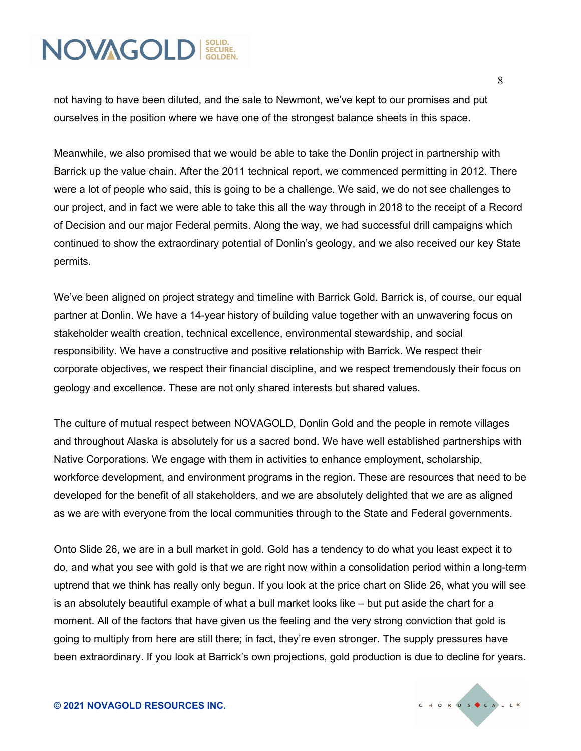not having to have been diluted, and the sale to Newmont, we've kept to our promises and put ourselves in the position where we have one of the strongest balance sheets in this space.

Meanwhile, we also promised that we would be able to take the Donlin project in partnership with Barrick up the value chain. After the 2011 technical report, we commenced permitting in 2012. There were a lot of people who said, this is going to be a challenge. We said, we do not see challenges to our project, and in fact we were able to take this all the way through in 2018 to the receipt of a Record of Decision and our major Federal permits. Along the way, we had successful drill campaigns which continued to show the extraordinary potential of Donlin's geology, and we also received our key State permits.

We've been aligned on project strategy and timeline with Barrick Gold. Barrick is, of course, our equal partner at Donlin. We have a 14-year history of building value together with an unwavering focus on stakeholder wealth creation, technical excellence, environmental stewardship, and social responsibility. We have a constructive and positive relationship with Barrick. We respect their corporate objectives, we respect their financial discipline, and we respect tremendously their focus on geology and excellence. These are not only shared interests but shared values.

The culture of mutual respect between NOVAGOLD, Donlin Gold and the people in remote villages and throughout Alaska is absolutely for us a sacred bond. We have well established partnerships with Native Corporations. We engage with them in activities to enhance employment, scholarship, workforce development, and environment programs in the region. These are resources that need to be developed for the benefit of all stakeholders, and we are absolutely delighted that we are as aligned as we are with everyone from the local communities through to the State and Federal governments.

Onto Slide 26, we are in a bull market in gold. Gold has a tendency to do what you least expect it to do, and what you see with gold is that we are right now within a consolidation period within a long-term uptrend that we think has really only begun. If you look at the price chart on Slide 26, what you will see is an absolutely beautiful example of what a bull market looks like – but put aside the chart for a moment. All of the factors that have given us the feeling and the very strong conviction that gold is going to multiply from here are still there; in fact, they're even stronger. The supply pressures have been extraordinary. If you look at Barrick's own projections, gold production is due to decline for years.

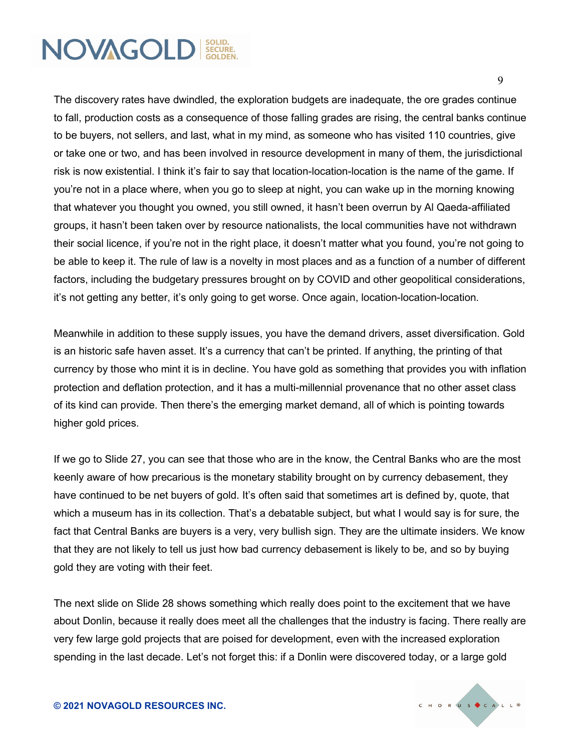The discovery rates have dwindled, the exploration budgets are inadequate, the ore grades continue to fall, production costs as a consequence of those falling grades are rising, the central banks continue to be buyers, not sellers, and last, what in my mind, as someone who has visited 110 countries, give or take one or two, and has been involved in resource development in many of them, the jurisdictional risk is now existential. I think it's fair to say that location-location-location is the name of the game. If you're not in a place where, when you go to sleep at night, you can wake up in the morning knowing that whatever you thought you owned, you still owned, it hasn't been overrun by Al Qaeda-affiliated groups, it hasn't been taken over by resource nationalists, the local communities have not withdrawn their social licence, if you're not in the right place, it doesn't matter what you found, you're not going to be able to keep it. The rule of law is a novelty in most places and as a function of a number of different factors, including the budgetary pressures brought on by COVID and other geopolitical considerations, it's not getting any better, it's only going to get worse. Once again, location-location-location.

Meanwhile in addition to these supply issues, you have the demand drivers, asset diversification. Gold is an historic safe haven asset. It's a currency that can't be printed. If anything, the printing of that currency by those who mint it is in decline. You have gold as something that provides you with inflation protection and deflation protection, and it has a multi-millennial provenance that no other asset class of its kind can provide. Then there's the emerging market demand, all of which is pointing towards higher gold prices.

If we go to Slide 27, you can see that those who are in the know, the Central Banks who are the most keenly aware of how precarious is the monetary stability brought on by currency debasement, they have continued to be net buyers of gold. It's often said that sometimes art is defined by, quote, that which a museum has in its collection. That's a debatable subject, but what I would say is for sure, the fact that Central Banks are buyers is a very, very bullish sign. They are the ultimate insiders. We know that they are not likely to tell us just how bad currency debasement is likely to be, and so by buying gold they are voting with their feet.

The next slide on Slide 28 shows something which really does point to the excitement that we have about Donlin, because it really does meet all the challenges that the industry is facing. There really are very few large gold projects that are poised for development, even with the increased exploration spending in the last decade. Let's not forget this: if a Donlin were discovered today, or a large gold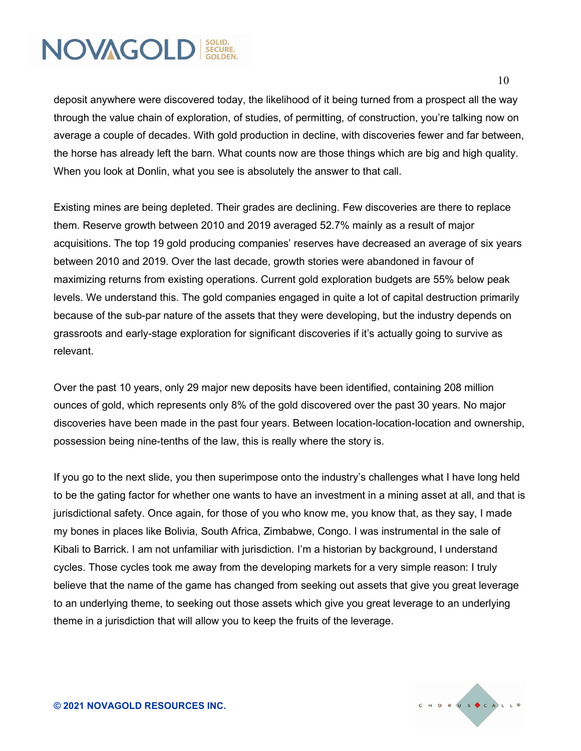deposit anywhere were discovered today, the likelihood of it being turned from a prospect all the way through the value chain of exploration, of studies, of permitting, of construction, you're talking now on average a couple of decades. With gold production in decline, with discoveries fewer and far between, the horse has already left the barn. What counts now are those things which are big and high quality. When you look at Donlin, what you see is absolutely the answer to that call.

Existing mines are being depleted. Their grades are declining. Few discoveries are there to replace them. Reserve growth between 2010 and 2019 averaged 52.7% mainly as a result of major acquisitions. The top 19 gold producing companies' reserves have decreased an average of six years between 2010 and 2019. Over the last decade, growth stories were abandoned in favour of maximizing returns from existing operations. Current gold exploration budgets are 55% below peak levels. We understand this. The gold companies engaged in quite a lot of capital destruction primarily because of the sub-par nature of the assets that they were developing, but the industry depends on grassroots and early-stage exploration for significant discoveries if it's actually going to survive as relevant.

Over the past 10 years, only 29 major new deposits have been identified, containing 208 million ounces of gold, which represents only 8% of the gold discovered over the past 30 years. No major discoveries have been made in the past four years. Between location-location-location and ownership, possession being nine-tenths of the law, this is really where the story is.

If you go to the next slide, you then superimpose onto the industry's challenges what I have long held to be the gating factor for whether one wants to have an investment in a mining asset at all, and that is jurisdictional safety. Once again, for those of you who know me, you know that, as they say, I made my bones in places like Bolivia, South Africa, Zimbabwe, Congo. I was instrumental in the sale of Kibali to Barrick. I am not unfamiliar with jurisdiction. I'm a historian by background, I understand cycles. Those cycles took me away from the developing markets for a very simple reason: I truly believe that the name of the game has changed from seeking out assets that give you great leverage to an underlying theme, to seeking out those assets which give you great leverage to an underlying theme in a jurisdiction that will allow you to keep the fruits of the leverage.

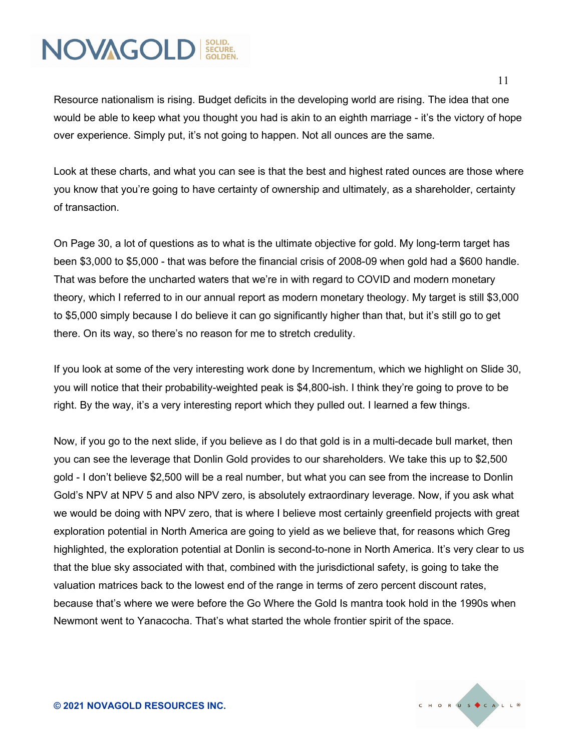Resource nationalism is rising. Budget deficits in the developing world are rising. The idea that one would be able to keep what you thought you had is akin to an eighth marriage - it's the victory of hope over experience. Simply put, it's not going to happen. Not all ounces are the same.

Look at these charts, and what you can see is that the best and highest rated ounces are those where you know that you're going to have certainty of ownership and ultimately, as a shareholder, certainty of transaction.

On Page 30, a lot of questions as to what is the ultimate objective for gold. My long-term target has been \$3,000 to \$5,000 - that was before the financial crisis of 2008-09 when gold had a \$600 handle. That was before the uncharted waters that we're in with regard to COVID and modern monetary theory, which I referred to in our annual report as modern monetary theology. My target is still \$3,000 to \$5,000 simply because I do believe it can go significantly higher than that, but it's still go to get there. On its way, so there's no reason for me to stretch credulity.

If you look at some of the very interesting work done by Incrementum, which we highlight on Slide 30, you will notice that their probability-weighted peak is \$4,800-ish. I think they're going to prove to be right. By the way, it's a very interesting report which they pulled out. I learned a few things.

Now, if you go to the next slide, if you believe as I do that gold is in a multi-decade bull market, then you can see the leverage that Donlin Gold provides to our shareholders. We take this up to \$2,500 gold - I don't believe \$2,500 will be a real number, but what you can see from the increase to Donlin Gold's NPV at NPV 5 and also NPV zero, is absolutely extraordinary leverage. Now, if you ask what we would be doing with NPV zero, that is where I believe most certainly greenfield projects with great exploration potential in North America are going to yield as we believe that, for reasons which Greg highlighted, the exploration potential at Donlin is second-to-none in North America. It's very clear to us that the blue sky associated with that, combined with the jurisdictional safety, is going to take the valuation matrices back to the lowest end of the range in terms of zero percent discount rates, because that's where we were before the Go Where the Gold Is mantra took hold in the 1990s when Newmont went to Yanacocha. That's what started the whole frontier spirit of the space.

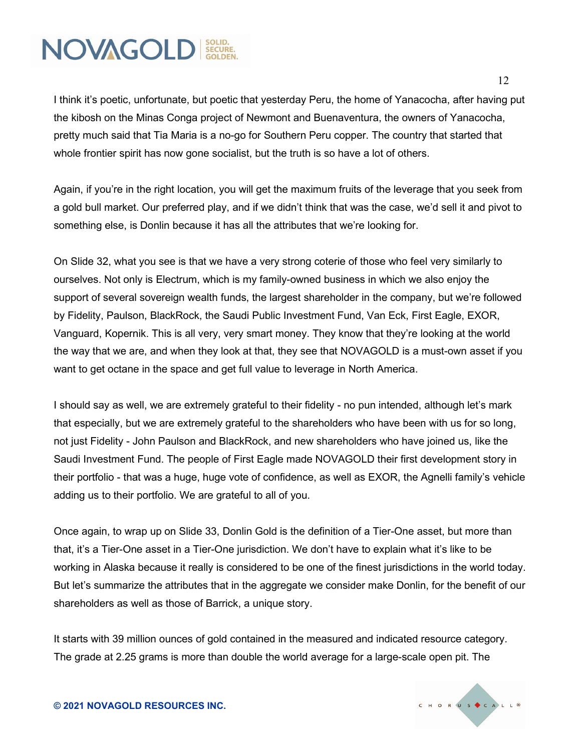I think it's poetic, unfortunate, but poetic that yesterday Peru, the home of Yanacocha, after having put the kibosh on the Minas Conga project of Newmont and Buenaventura, the owners of Yanacocha, pretty much said that Tia Maria is a no-go for Southern Peru copper. The country that started that whole frontier spirit has now gone socialist, but the truth is so have a lot of others.

Again, if you're in the right location, you will get the maximum fruits of the leverage that you seek from a gold bull market. Our preferred play, and if we didn't think that was the case, we'd sell it and pivot to something else, is Donlin because it has all the attributes that we're looking for.

On Slide 32, what you see is that we have a very strong coterie of those who feel very similarly to ourselves. Not only is Electrum, which is my family-owned business in which we also enjoy the support of several sovereign wealth funds, the largest shareholder in the company, but we're followed by Fidelity, Paulson, BlackRock, the Saudi Public Investment Fund, Van Eck, First Eagle, EXOR, Vanguard, Kopernik. This is all very, very smart money. They know that they're looking at the world the way that we are, and when they look at that, they see that NOVAGOLD is a must-own asset if you want to get octane in the space and get full value to leverage in North America.

I should say as well, we are extremely grateful to their fidelity - no pun intended, although let's mark that especially, but we are extremely grateful to the shareholders who have been with us for so long, not just Fidelity - John Paulson and BlackRock, and new shareholders who have joined us, like the Saudi Investment Fund. The people of First Eagle made NOVAGOLD their first development story in their portfolio - that was a huge, huge vote of confidence, as well as EXOR, the Agnelli family's vehicle adding us to their portfolio. We are grateful to all of you.

Once again, to wrap up on Slide 33, Donlin Gold is the definition of a Tier-One asset, but more than that, it's a Tier-One asset in a Tier-One jurisdiction. We don't have to explain what it's like to be working in Alaska because it really is considered to be one of the finest jurisdictions in the world today. But let's summarize the attributes that in the aggregate we consider make Donlin, for the benefit of our shareholders as well as those of Barrick, a unique story.

It starts with 39 million ounces of gold contained in the measured and indicated resource category. The grade at 2.25 grams is more than double the world average for a large-scale open pit. The

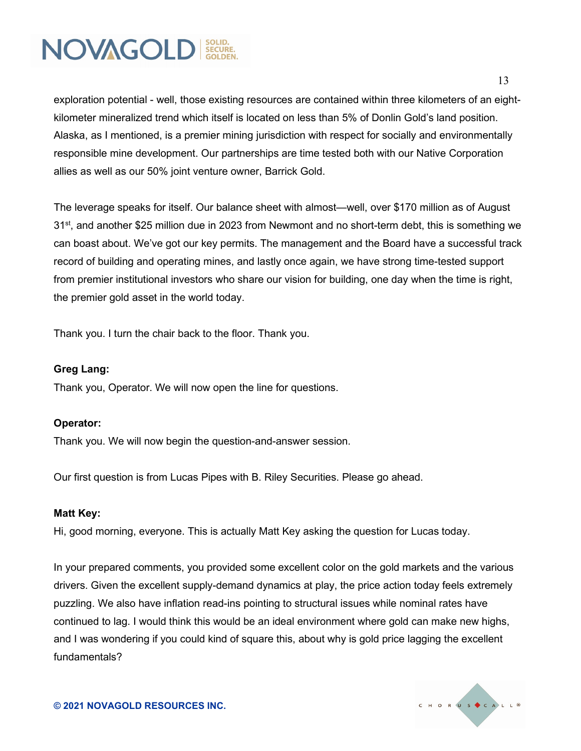

exploration potential - well, those existing resources are contained within three kilometers of an eightkilometer mineralized trend which itself is located on less than 5% of Donlin Gold's land position. Alaska, as I mentioned, is a premier mining jurisdiction with respect for socially and environmentally responsible mine development. Our partnerships are time tested both with our Native Corporation allies as well as our 50% joint venture owner, Barrick Gold.

The leverage speaks for itself. Our balance sheet with almost—well, over \$170 million as of August 31<sup>st</sup>, and another \$25 million due in 2023 from Newmont and no short-term debt, this is something we can boast about. We've got our key permits. The management and the Board have a successful track record of building and operating mines, and lastly once again, we have strong time-tested support from premier institutional investors who share our vision for building, one day when the time is right, the premier gold asset in the world today.

Thank you. I turn the chair back to the floor. Thank you.

#### **Greg Lang:**

Thank you, Operator. We will now open the line for questions.

#### **Operator:**

Thank you. We will now begin the question-and-answer session.

Our first question is from Lucas Pipes with B. Riley Securities. Please go ahead.

#### **Matt Key:**

Hi, good morning, everyone. This is actually Matt Key asking the question for Lucas today.

In your prepared comments, you provided some excellent color on the gold markets and the various drivers. Given the excellent supply-demand dynamics at play, the price action today feels extremely puzzling. We also have inflation read-ins pointing to structural issues while nominal rates have continued to lag. I would think this would be an ideal environment where gold can make new highs, and I was wondering if you could kind of square this, about why is gold price lagging the excellent fundamentals?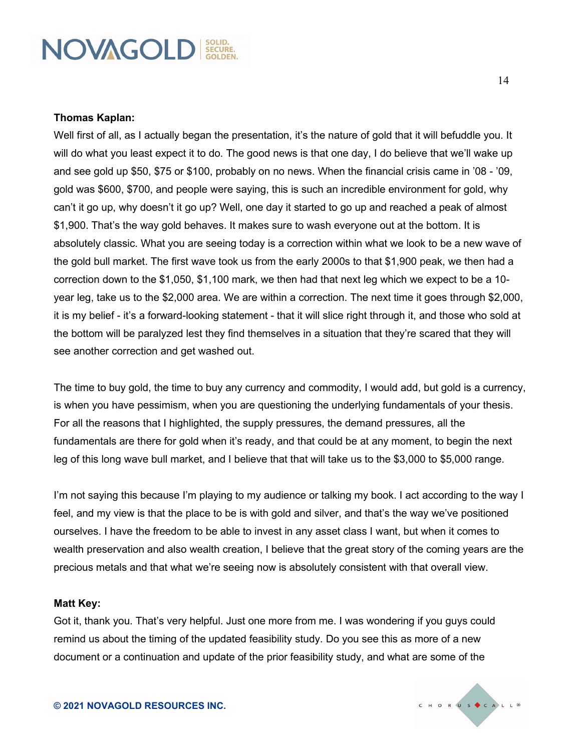#### **Thomas Kaplan:**

Well first of all, as I actually began the presentation, it's the nature of gold that it will befuddle you. It will do what you least expect it to do. The good news is that one day, I do believe that we'll wake up and see gold up \$50, \$75 or \$100, probably on no news. When the financial crisis came in '08 - '09, gold was \$600, \$700, and people were saying, this is such an incredible environment for gold, why can't it go up, why doesn't it go up? Well, one day it started to go up and reached a peak of almost \$1,900. That's the way gold behaves. It makes sure to wash everyone out at the bottom. It is absolutely classic. What you are seeing today is a correction within what we look to be a new wave of the gold bull market. The first wave took us from the early 2000s to that \$1,900 peak, we then had a correction down to the \$1,050, \$1,100 mark, we then had that next leg which we expect to be a 10 year leg, take us to the \$2,000 area. We are within a correction. The next time it goes through \$2,000, it is my belief - it's a forward-looking statement - that it will slice right through it, and those who sold at the bottom will be paralyzed lest they find themselves in a situation that they're scared that they will see another correction and get washed out.

The time to buy gold, the time to buy any currency and commodity, I would add, but gold is a currency, is when you have pessimism, when you are questioning the underlying fundamentals of your thesis. For all the reasons that I highlighted, the supply pressures, the demand pressures, all the fundamentals are there for gold when it's ready, and that could be at any moment, to begin the next leg of this long wave bull market, and I believe that that will take us to the \$3,000 to \$5,000 range.

I'm not saying this because I'm playing to my audience or talking my book. I act according to the way I feel, and my view is that the place to be is with gold and silver, and that's the way we've positioned ourselves. I have the freedom to be able to invest in any asset class I want, but when it comes to wealth preservation and also wealth creation, I believe that the great story of the coming years are the precious metals and that what we're seeing now is absolutely consistent with that overall view.

#### **Matt Key:**

Got it, thank you. That's very helpful. Just one more from me. I was wondering if you guys could remind us about the timing of the updated feasibility study. Do you see this as more of a new document or a continuation and update of the prior feasibility study, and what are some of the

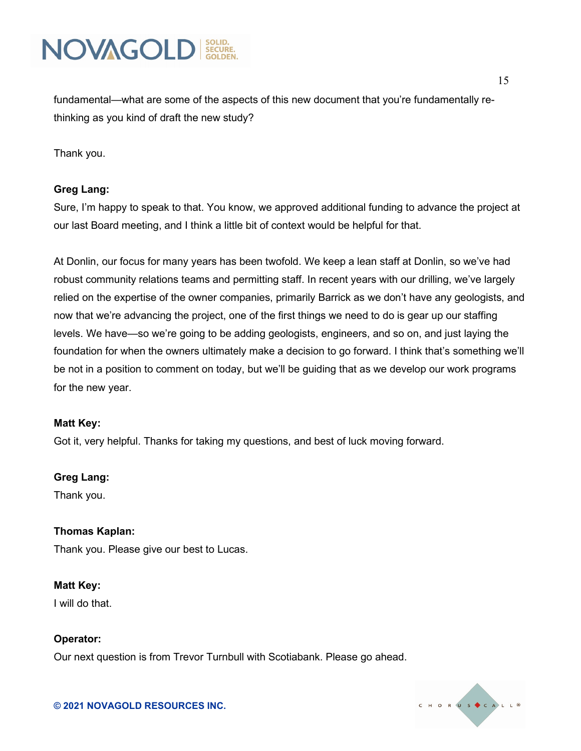

fundamental—what are some of the aspects of this new document that you're fundamentally rethinking as you kind of draft the new study?

Thank you.

#### **Greg Lang:**

Sure, I'm happy to speak to that. You know, we approved additional funding to advance the project at our last Board meeting, and I think a little bit of context would be helpful for that.

At Donlin, our focus for many years has been twofold. We keep a lean staff at Donlin, so we've had robust community relations teams and permitting staff. In recent years with our drilling, we've largely relied on the expertise of the owner companies, primarily Barrick as we don't have any geologists, and now that we're advancing the project, one of the first things we need to do is gear up our staffing levels. We have—so we're going to be adding geologists, engineers, and so on, and just laying the foundation for when the owners ultimately make a decision to go forward. I think that's something we'll be not in a position to comment on today, but we'll be guiding that as we develop our work programs for the new year.

#### **Matt Key:**

Got it, very helpful. Thanks for taking my questions, and best of luck moving forward.

#### **Greg Lang:**

Thank you.

#### **Thomas Kaplan:**

Thank you. Please give our best to Lucas.

#### **Matt Key:**

I will do that.

#### **Operator:**

Our next question is from Trevor Turnbull with Scotiabank. Please go ahead.

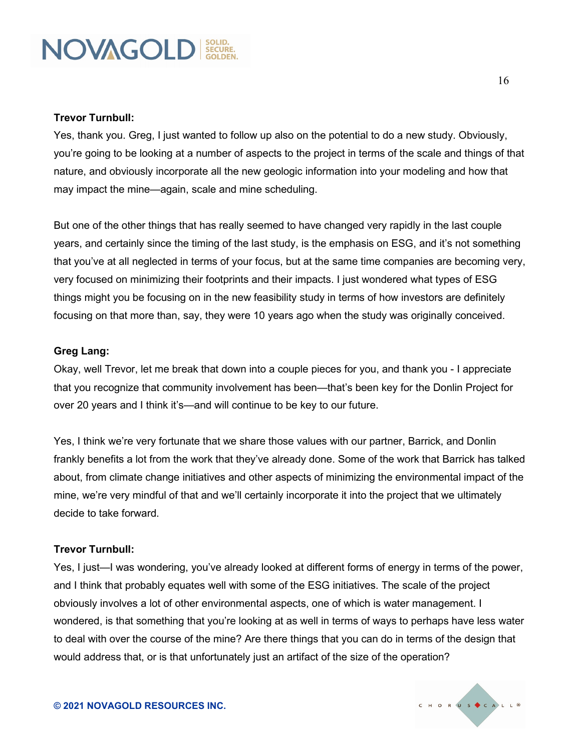#### **Trevor Turnbull:**

Yes, thank you. Greg, I just wanted to follow up also on the potential to do a new study. Obviously, you're going to be looking at a number of aspects to the project in terms of the scale and things of that nature, and obviously incorporate all the new geologic information into your modeling and how that may impact the mine—again, scale and mine scheduling.

But one of the other things that has really seemed to have changed very rapidly in the last couple years, and certainly since the timing of the last study, is the emphasis on ESG, and it's not something that you've at all neglected in terms of your focus, but at the same time companies are becoming very, very focused on minimizing their footprints and their impacts. I just wondered what types of ESG things might you be focusing on in the new feasibility study in terms of how investors are definitely focusing on that more than, say, they were 10 years ago when the study was originally conceived.

#### **Greg Lang:**

Okay, well Trevor, let me break that down into a couple pieces for you, and thank you - I appreciate that you recognize that community involvement has been—that's been key for the Donlin Project for over 20 years and I think it's—and will continue to be key to our future.

Yes, I think we're very fortunate that we share those values with our partner, Barrick, and Donlin frankly benefits a lot from the work that they've already done. Some of the work that Barrick has talked about, from climate change initiatives and other aspects of minimizing the environmental impact of the mine, we're very mindful of that and we'll certainly incorporate it into the project that we ultimately decide to take forward.

#### **Trevor Turnbull:**

Yes, I just—I was wondering, you've already looked at different forms of energy in terms of the power, and I think that probably equates well with some of the ESG initiatives. The scale of the project obviously involves a lot of other environmental aspects, one of which is water management. I wondered, is that something that you're looking at as well in terms of ways to perhaps have less water to deal with over the course of the mine? Are there things that you can do in terms of the design that would address that, or is that unfortunately just an artifact of the size of the operation?

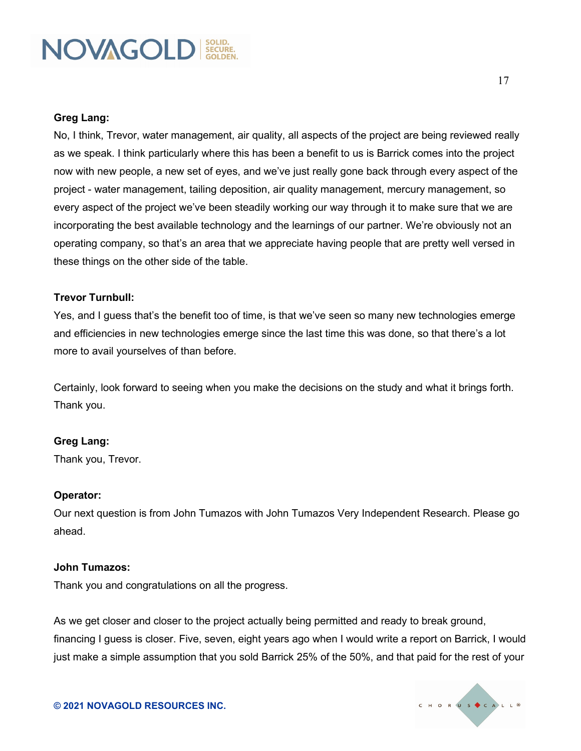#### **Greg Lang:**

No, I think, Trevor, water management, air quality, all aspects of the project are being reviewed really as we speak. I think particularly where this has been a benefit to us is Barrick comes into the project now with new people, a new set of eyes, and we've just really gone back through every aspect of the project - water management, tailing deposition, air quality management, mercury management, so every aspect of the project we've been steadily working our way through it to make sure that we are incorporating the best available technology and the learnings of our partner. We're obviously not an operating company, so that's an area that we appreciate having people that are pretty well versed in these things on the other side of the table.

#### **Trevor Turnbull:**

Yes, and I guess that's the benefit too of time, is that we've seen so many new technologies emerge and efficiencies in new technologies emerge since the last time this was done, so that there's a lot more to avail yourselves of than before.

Certainly, look forward to seeing when you make the decisions on the study and what it brings forth. Thank you.

#### **Greg Lang:**

Thank you, Trevor.

#### **Operator:**

Our next question is from John Tumazos with John Tumazos Very Independent Research. Please go ahead.

#### **John Tumazos:**

Thank you and congratulations on all the progress.

**© 2021 NOVAGOLD RESOURCES INC.**

As we get closer and closer to the project actually being permitted and ready to break ground, financing I guess is closer. Five, seven, eight years ago when I would write a report on Barrick, I would just make a simple assumption that you sold Barrick 25% of the 50%, and that paid for the rest of your

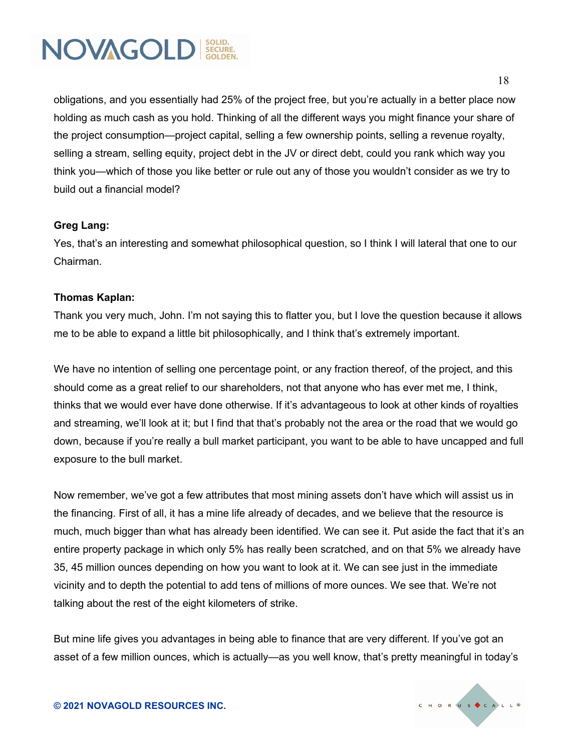

obligations, and you essentially had 25% of the project free, but you're actually in a better place now holding as much cash as you hold. Thinking of all the different ways you might finance your share of the project consumption—project capital, selling a few ownership points, selling a revenue royalty, selling a stream, selling equity, project debt in the JV or direct debt, could you rank which way you think you—which of those you like better or rule out any of those you wouldn't consider as we try to build out a financial model?

#### **Greg Lang:**

Yes, that's an interesting and somewhat philosophical question, so I think I will lateral that one to our Chairman.

#### **Thomas Kaplan:**

Thank you very much, John. I'm not saying this to flatter you, but I love the question because it allows me to be able to expand a little bit philosophically, and I think that's extremely important.

We have no intention of selling one percentage point, or any fraction thereof, of the project, and this should come as a great relief to our shareholders, not that anyone who has ever met me, I think, thinks that we would ever have done otherwise. If it's advantageous to look at other kinds of royalties and streaming, we'll look at it; but I find that that's probably not the area or the road that we would go down, because if you're really a bull market participant, you want to be able to have uncapped and full exposure to the bull market.

Now remember, we've got a few attributes that most mining assets don't have which will assist us in the financing. First of all, it has a mine life already of decades, and we believe that the resource is much, much bigger than what has already been identified. We can see it. Put aside the fact that it's an entire property package in which only 5% has really been scratched, and on that 5% we already have 35, 45 million ounces depending on how you want to look at it. We can see just in the immediate vicinity and to depth the potential to add tens of millions of more ounces. We see that. We're not talking about the rest of the eight kilometers of strike.

But mine life gives you advantages in being able to finance that are very different. If you've got an asset of a few million ounces, which is actually—as you well know, that's pretty meaningful in today's

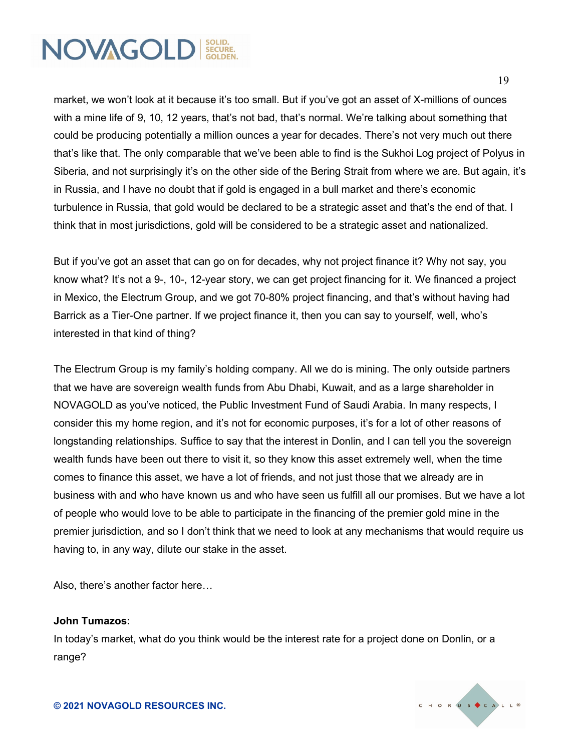

market, we won't look at it because it's too small. But if you've got an asset of X-millions of ounces with a mine life of 9, 10, 12 years, that's not bad, that's normal. We're talking about something that could be producing potentially a million ounces a year for decades. There's not very much out there that's like that. The only comparable that we've been able to find is the Sukhoi Log project of Polyus in Siberia, and not surprisingly it's on the other side of the Bering Strait from where we are. But again, it's in Russia, and I have no doubt that if gold is engaged in a bull market and there's economic turbulence in Russia, that gold would be declared to be a strategic asset and that's the end of that. I think that in most jurisdictions, gold will be considered to be a strategic asset and nationalized.

But if you've got an asset that can go on for decades, why not project finance it? Why not say, you know what? It's not a 9-, 10-, 12-year story, we can get project financing for it. We financed a project in Mexico, the Electrum Group, and we got 70-80% project financing, and that's without having had Barrick as a Tier-One partner. If we project finance it, then you can say to yourself, well, who's interested in that kind of thing?

The Electrum Group is my family's holding company. All we do is mining. The only outside partners that we have are sovereign wealth funds from Abu Dhabi, Kuwait, and as a large shareholder in NOVAGOLD as you've noticed, the Public Investment Fund of Saudi Arabia. In many respects, I consider this my home region, and it's not for economic purposes, it's for a lot of other reasons of longstanding relationships. Suffice to say that the interest in Donlin, and I can tell you the sovereign wealth funds have been out there to visit it, so they know this asset extremely well, when the time comes to finance this asset, we have a lot of friends, and not just those that we already are in business with and who have known us and who have seen us fulfill all our promises. But we have a lot of people who would love to be able to participate in the financing of the premier gold mine in the premier jurisdiction, and so I don't think that we need to look at any mechanisms that would require us having to, in any way, dilute our stake in the asset.

Also, there's another factor here…

#### **John Tumazos:**

In today's market, what do you think would be the interest rate for a project done on Donlin, or a range?

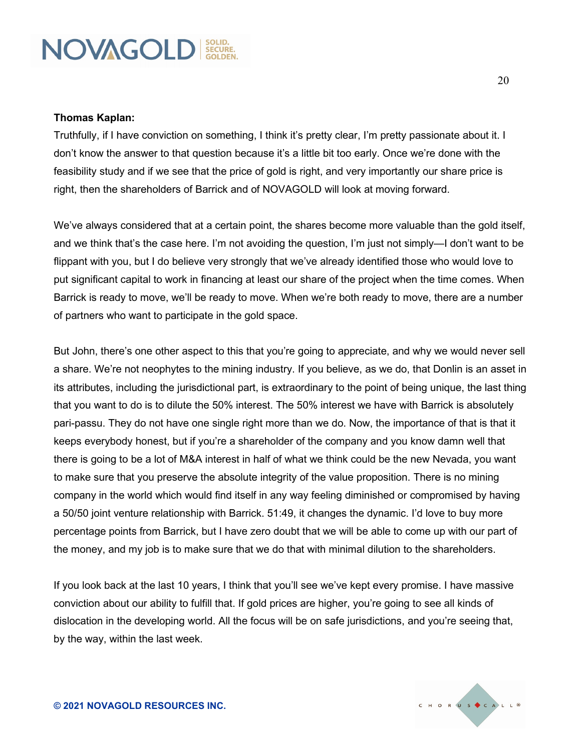#### **Thomas Kaplan:**

Truthfully, if I have conviction on something, I think it's pretty clear, I'm pretty passionate about it. I don't know the answer to that question because it's a little bit too early. Once we're done with the feasibility study and if we see that the price of gold is right, and very importantly our share price is right, then the shareholders of Barrick and of NOVAGOLD will look at moving forward.

We've always considered that at a certain point, the shares become more valuable than the gold itself, and we think that's the case here. I'm not avoiding the question, I'm just not simply—I don't want to be flippant with you, but I do believe very strongly that we've already identified those who would love to put significant capital to work in financing at least our share of the project when the time comes. When Barrick is ready to move, we'll be ready to move. When we're both ready to move, there are a number of partners who want to participate in the gold space.

But John, there's one other aspect to this that you're going to appreciate, and why we would never sell a share. We're not neophytes to the mining industry. If you believe, as we do, that Donlin is an asset in its attributes, including the jurisdictional part, is extraordinary to the point of being unique, the last thing that you want to do is to dilute the 50% interest. The 50% interest we have with Barrick is absolutely pari-passu. They do not have one single right more than we do. Now, the importance of that is that it keeps everybody honest, but if you're a shareholder of the company and you know damn well that there is going to be a lot of M&A interest in half of what we think could be the new Nevada, you want to make sure that you preserve the absolute integrity of the value proposition. There is no mining company in the world which would find itself in any way feeling diminished or compromised by having a 50/50 joint venture relationship with Barrick. 51:49, it changes the dynamic. I'd love to buy more percentage points from Barrick, but I have zero doubt that we will be able to come up with our part of the money, and my job is to make sure that we do that with minimal dilution to the shareholders.

If you look back at the last 10 years, I think that you'll see we've kept every promise. I have massive conviction about our ability to fulfill that. If gold prices are higher, you're going to see all kinds of dislocation in the developing world. All the focus will be on safe jurisdictions, and you're seeing that, by the way, within the last week.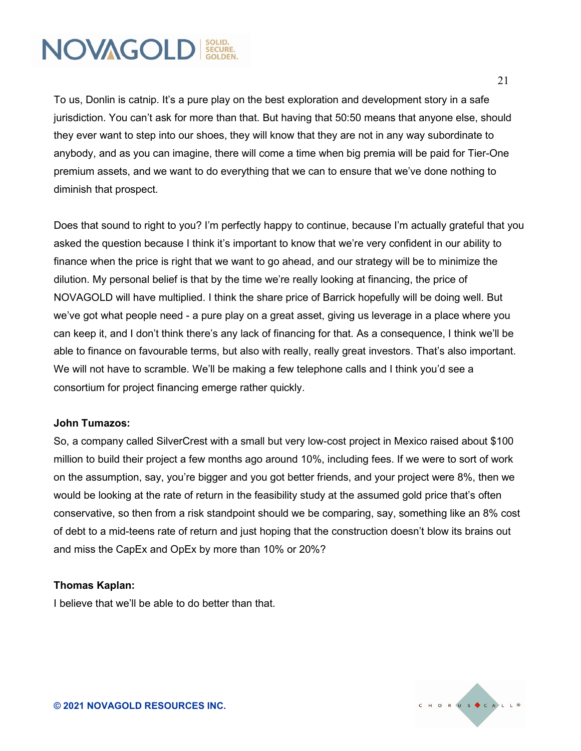To us, Donlin is catnip. It's a pure play on the best exploration and development story in a safe jurisdiction. You can't ask for more than that. But having that 50:50 means that anyone else, should they ever want to step into our shoes, they will know that they are not in any way subordinate to anybody, and as you can imagine, there will come a time when big premia will be paid for Tier-One premium assets, and we want to do everything that we can to ensure that we've done nothing to diminish that prospect.

Does that sound to right to you? I'm perfectly happy to continue, because I'm actually grateful that you asked the question because I think it's important to know that we're very confident in our ability to finance when the price is right that we want to go ahead, and our strategy will be to minimize the dilution. My personal belief is that by the time we're really looking at financing, the price of NOVAGOLD will have multiplied. I think the share price of Barrick hopefully will be doing well. But we've got what people need - a pure play on a great asset, giving us leverage in a place where you can keep it, and I don't think there's any lack of financing for that. As a consequence, I think we'll be able to finance on favourable terms, but also with really, really great investors. That's also important. We will not have to scramble. We'll be making a few telephone calls and I think you'd see a consortium for project financing emerge rather quickly.

#### **John Tumazos:**

So, a company called SilverCrest with a small but very low-cost project in Mexico raised about \$100 million to build their project a few months ago around 10%, including fees. If we were to sort of work on the assumption, say, you're bigger and you got better friends, and your project were 8%, then we would be looking at the rate of return in the feasibility study at the assumed gold price that's often conservative, so then from a risk standpoint should we be comparing, say, something like an 8% cost of debt to a mid-teens rate of return and just hoping that the construction doesn't blow its brains out and miss the CapEx and OpEx by more than 10% or 20%?

#### **Thomas Kaplan:**

I believe that we'll be able to do better than that.

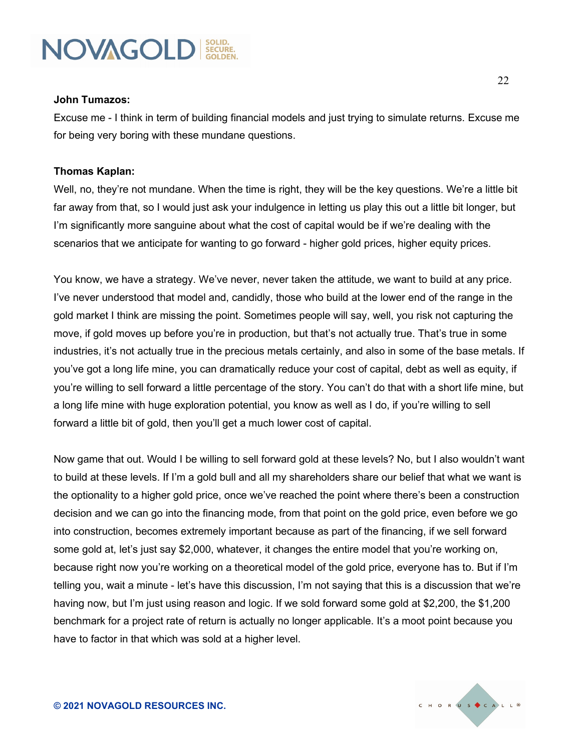

#### **John Tumazos:**

Excuse me - I think in term of building financial models and just trying to simulate returns. Excuse me for being very boring with these mundane questions.

#### **Thomas Kaplan:**

Well, no, they're not mundane. When the time is right, they will be the key questions. We're a little bit far away from that, so I would just ask your indulgence in letting us play this out a little bit longer, but I'm significantly more sanguine about what the cost of capital would be if we're dealing with the scenarios that we anticipate for wanting to go forward - higher gold prices, higher equity prices.

You know, we have a strategy. We've never, never taken the attitude, we want to build at any price. I've never understood that model and, candidly, those who build at the lower end of the range in the gold market I think are missing the point. Sometimes people will say, well, you risk not capturing the move, if gold moves up before you're in production, but that's not actually true. That's true in some industries, it's not actually true in the precious metals certainly, and also in some of the base metals. If you've got a long life mine, you can dramatically reduce your cost of capital, debt as well as equity, if you're willing to sell forward a little percentage of the story. You can't do that with a short life mine, but a long life mine with huge exploration potential, you know as well as I do, if you're willing to sell forward a little bit of gold, then you'll get a much lower cost of capital.

Now game that out. Would I be willing to sell forward gold at these levels? No, but I also wouldn't want to build at these levels. If I'm a gold bull and all my shareholders share our belief that what we want is the optionality to a higher gold price, once we've reached the point where there's been a construction decision and we can go into the financing mode, from that point on the gold price, even before we go into construction, becomes extremely important because as part of the financing, if we sell forward some gold at, let's just say \$2,000, whatever, it changes the entire model that you're working on, because right now you're working on a theoretical model of the gold price, everyone has to. But if I'm telling you, wait a minute - let's have this discussion, I'm not saying that this is a discussion that we're having now, but I'm just using reason and logic. If we sold forward some gold at \$2,200, the \$1,200 benchmark for a project rate of return is actually no longer applicable. It's a moot point because you have to factor in that which was sold at a higher level.

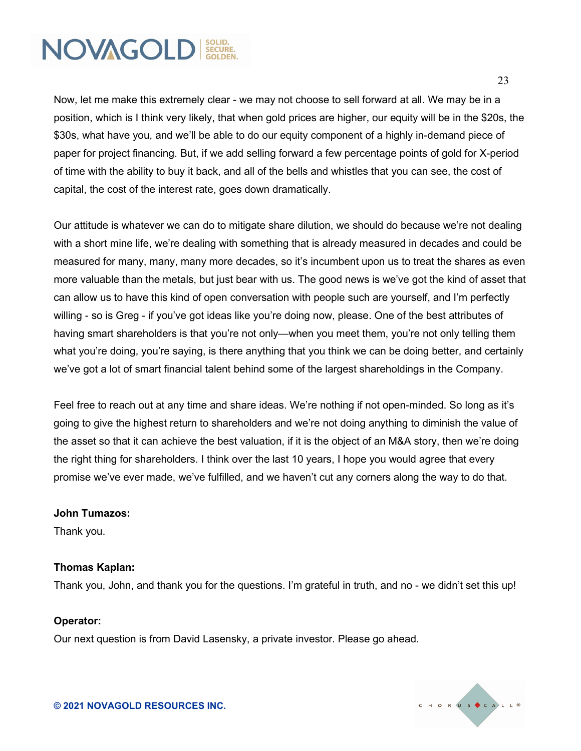Now, let me make this extremely clear - we may not choose to sell forward at all. We may be in a position, which is I think very likely, that when gold prices are higher, our equity will be in the \$20s, the \$30s, what have you, and we'll be able to do our equity component of a highly in-demand piece of paper for project financing. But, if we add selling forward a few percentage points of gold for X-period of time with the ability to buy it back, and all of the bells and whistles that you can see, the cost of capital, the cost of the interest rate, goes down dramatically.

Our attitude is whatever we can do to mitigate share dilution, we should do because we're not dealing with a short mine life, we're dealing with something that is already measured in decades and could be measured for many, many, many more decades, so it's incumbent upon us to treat the shares as even more valuable than the metals, but just bear with us. The good news is we've got the kind of asset that can allow us to have this kind of open conversation with people such are yourself, and I'm perfectly willing - so is Greg - if you've got ideas like you're doing now, please. One of the best attributes of having smart shareholders is that you're not only—when you meet them, you're not only telling them what you're doing, you're saying, is there anything that you think we can be doing better, and certainly we've got a lot of smart financial talent behind some of the largest shareholdings in the Company.

Feel free to reach out at any time and share ideas. We're nothing if not open-minded. So long as it's going to give the highest return to shareholders and we're not doing anything to diminish the value of the asset so that it can achieve the best valuation, if it is the object of an M&A story, then we're doing the right thing for shareholders. I think over the last 10 years, I hope you would agree that every promise we've ever made, we've fulfilled, and we haven't cut any corners along the way to do that.

#### **John Tumazos:**

Thank you.

#### **Thomas Kaplan:**

Thank you, John, and thank you for the questions. I'm grateful in truth, and no - we didn't set this up!

#### **Operator:**

Our next question is from David Lasensky, a private investor. Please go ahead.